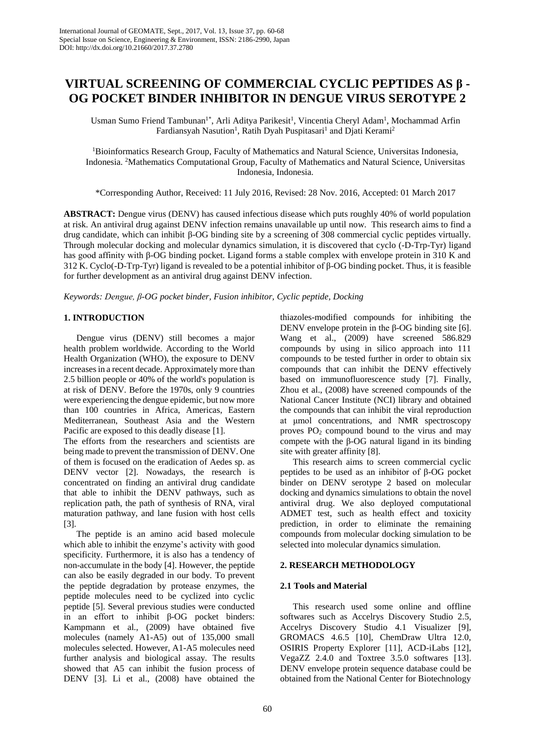# **VIRTUAL SCREENING OF COMMERCIAL CYCLIC PEPTIDES AS β - OG POCKET BINDER INHIBITOR IN DENGUE VIRUS SEROTYPE 2**

Usman Sumo Friend Tambunan<sup>1\*</sup>, Arli Aditya Parikesit<sup>1</sup>, Vincentia Cheryl Adam<sup>1</sup>, Mochammad Arfin Fardiansyah Nasution<sup>1</sup>, Ratih Dyah Puspitasari<sup>1</sup> and Djati Kerami<sup>2</sup>

<sup>1</sup>Bioinformatics Research Group, Faculty of Mathematics and Natural Science, Universitas Indonesia, Indonesia. <sup>2</sup>Mathematics Computational Group, Faculty of Mathematics and Natural Science, Universitas Indonesia, Indonesia.

\*Corresponding Author, Received: 11 July 2016, Revised: 28 Nov. 2016, Accepted: 01 March 2017

**ABSTRACT:** Dengue virus (DENV) has caused infectious disease which puts roughly 40% of world population at risk. An antiviral drug against DENV infection remains unavailable up until now. This research aims to find a drug candidate, which can inhibit β-OG binding site by a screening of 308 commercial cyclic peptides virtually. Through molecular docking and molecular dynamics simulation, it is discovered that cyclo (-D-Trp-Tyr) ligand has good affinity with β-OG binding pocket. Ligand forms a stable complex with envelope protein in 310 K and 312 K. Cyclo(-D-Trp-Tyr) ligand is revealed to be a potential inhibitor of β-OG binding pocket. Thus, it is feasible for further development as an antiviral drug against DENV infection.

*Keywords: Dengue, β-OG pocket binder, Fusion inhibitor, Cyclic peptide, Docking*

# **1. INTRODUCTION**

Dengue virus (DENV) still becomes a major health problem worldwide. According to the World Health Organization (WHO), the exposure to DENV increases in a recent decade. Approximately more than 2.5 billion people or 40% of the world's population is at risk of DENV. Before the 1970s, only 9 countries were experiencing the dengue epidemic, but now more than 100 countries in Africa, Americas, Eastern Mediterranean, Southeast Asia and the Western Pacific are exposed to this deadly disease [1].

The efforts from the researchers and scientists are being made to prevent the transmission of DENV. One of them is focused on the eradication of Aedes sp. as DENV vector [2]. Nowadays, the research is concentrated on finding an antiviral drug candidate that able to inhibit the DENV pathways, such as replication path, the path of synthesis of RNA, viral maturation pathway, and lane fusion with host cells [3].

The peptide is an amino acid based molecule which able to inhibit the enzyme's activity with good specificity. Furthermore, it is also has a tendency of non-accumulate in the body [4]. However, the peptide can also be easily degraded in our body. To prevent the peptide degradation by protease enzymes, the peptide molecules need to be cyclized into cyclic peptide [5]. Several previous studies were conducted in an effort to inhibit β-OG pocket binders: Kampmann et al., (2009) have obtained five molecules (namely A1-A5) out of 135,000 small molecules selected. However, A1-A5 molecules need further analysis and biological assay. The results showed that A5 can inhibit the fusion process of DENV [3]. Li et al., (2008) have obtained the thiazoles-modified compounds for inhibiting the DENV envelope protein in the β-OG binding site  $[6]$ . Wang et al., (2009) have screened 586.829 compounds by using in silico approach into 111 compounds to be tested further in order to obtain six compounds that can inhibit the DENV effectively based on immunofluorescence study [7]. Finally, Zhou et al., (2008) have screened compounds of the National Cancer Institute (NCI) library and obtained the compounds that can inhibit the viral reproduction at μmol concentrations, and NMR spectroscopy proves  $PO_2$  compound bound to the virus and may compete with the β-OG natural ligand in its binding site with greater affinity [8].

This research aims to screen commercial cyclic peptides to be used as an inhibitor of β-OG pocket binder on DENV serotype 2 based on molecular docking and dynamics simulations to obtain the novel antiviral drug. We also deployed computational ADMET test, such as health effect and toxicity prediction, in order to eliminate the remaining compounds from molecular docking simulation to be selected into molecular dynamics simulation.

## **2. RESEARCH METHODOLOGY**

## **2.1 Tools and Material**

This research used some online and offline softwares such as Accelrys Discovery Studio 2.5, Accelrys Discovery Studio 4.1 Visualizer [9], GROMACS 4.6.5 [10], ChemDraw Ultra 12.0, OSIRIS Property Explorer [11], ACD-iLabs [12], VegaZZ 2.4.0 and Toxtree 3.5.0 softwares [13]. DENV envelope protein sequence database could be obtained from the National Center for Biotechnology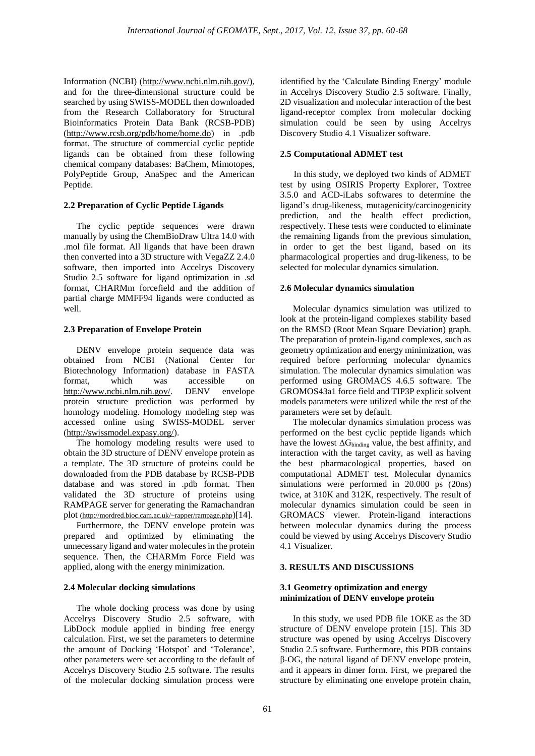Information (NCBI) [\(http://www.ncbi.nlm.nih.gov/\)](http://www.ncbi.nlm.nih.gov/), and for the three-dimensional structure could be searched by using SWISS-MODEL then downloaded from the Research Collaboratory for Structural Bioinformatics Protein Data Bank (RCSB-PDB) [\(http://www.rcsb.org/pdb/home/home.do\)](http://www.rcsb.org/pdb/home/home.do) in .pdb format. The structure of commercial cyclic peptide ligands can be obtained from these following chemical company databases: BaChem, Mimotopes, PolyPeptide Group, AnaSpec and the American Peptide.

# **2.2 Preparation of Cyclic Peptide Ligands**

The cyclic peptide sequences were drawn manually by using the ChemBioDraw Ultra 14.0 with .mol file format. All ligands that have been drawn then converted into a 3D structure with VegaZZ 2.4.0 software, then imported into Accelrys Discovery Studio 2.5 software for ligand optimization in .sd format, CHARMm forcefield and the addition of partial charge MMFF94 ligands were conducted as well.

# **2.3 Preparation of Envelope Protein**

DENV envelope protein sequence data was obtained from NCBI (National Center for Biotechnology Information) database in FASTA format, which was accessible on [http://www.ncbi.nlm.nih.gov/.](http://www.ncbi.nlm.nih.gov/) DENV envelope protein structure prediction was performed by homology modeling. Homology modeling step was accessed online using SWISS-MODEL server [\(http://swissmodel.expasy.org/\)](http://swissmodel.expasy.org/).

The homology modeling results were used to obtain the 3D structure of DENV envelope protein as a template. The 3D structure of proteins could be downloaded from the PDB database by RCSB-PDB database and was stored in .pdb format. Then validated the 3D structure of proteins using RAMPAGE server for generating the Ramachandran plot [\(http://mordred.bioc.cam.ac.uk/~rapper/rampage.php](http://mordred.bioc.cam.ac.uk/~rapper/rampage.php))[14].

Furthermore, the DENV envelope protein was prepared and optimized by eliminating the unnecessary ligand and water molecules in the protein sequence. Then, the CHARMm Force Field was applied, along with the energy minimization.

# **2.4 Molecular docking simulations**

The whole docking process was done by using Accelrys Discovery Studio 2.5 software, with LibDock module applied in binding free energy calculation. First, we set the parameters to determine the amount of Docking 'Hotspot' and 'Tolerance', other parameters were set according to the default of Accelrys Discovery Studio 2.5 software. The results of the molecular docking simulation process were

identified by the 'Calculate Binding Energy' module in Accelrys Discovery Studio 2.5 software. Finally, 2D visualization and molecular interaction of the best ligand-receptor complex from molecular docking simulation could be seen by using Accelrys Discovery Studio 4.1 Visualizer software.

# **2.5 Computational ADMET test**

 In this study, we deployed two kinds of ADMET test by using OSIRIS Property Explorer, Toxtree 3.5.0 and ACD-iLabs softwares to determine the ligand's drug-likeness, mutagenicity/carcinogenicity prediction, and the health effect prediction, respectively. These tests were conducted to eliminate the remaining ligands from the previous simulation, in order to get the best ligand, based on its pharmacological properties and drug-likeness, to be selected for molecular dynamics simulation.

## **2.6 Molecular dynamics simulation**

Molecular dynamics simulation was utilized to look at the protein-ligand complexes stability based on the RMSD (Root Mean Square Deviation) graph. The preparation of protein-ligand complexes, such as geometry optimization and energy minimization, was required before performing molecular dynamics simulation. The molecular dynamics simulation was performed using GROMACS 4.6.5 software. The GROMOS43a1 force field and TIP3P explicit solvent models parameters were utilized while the rest of the parameters were set by default.

The molecular dynamics simulation process was performed on the best cyclic peptide ligands which have the lowest  $\Delta G_{binding}$  value, the best affinity, and interaction with the target cavity, as well as having the best pharmacological properties, based on computational ADMET test. Molecular dynamics simulations were performed in 20.000 ps (20ns) twice, at 310K and 312K, respectively. The result of molecular dynamics simulation could be seen in GROMACS viewer. Protein-ligand interactions between molecular dynamics during the process could be viewed by using Accelrys Discovery Studio 4.1 Visualizer.

## **3. RESULTS AND DISCUSSIONS**

# **3.1 Geometry optimization and energy minimization of DENV envelope protein**

In this study, we used PDB file 1OKE as the 3D structure of DENV envelope protein [15]. This 3D structure was opened by using Accelrys Discovery Studio 2.5 software. Furthermore, this PDB contains β-OG, the natural ligand of DENV envelope protein, and it appears in dimer form. First, we prepared the structure by eliminating one envelope protein chain,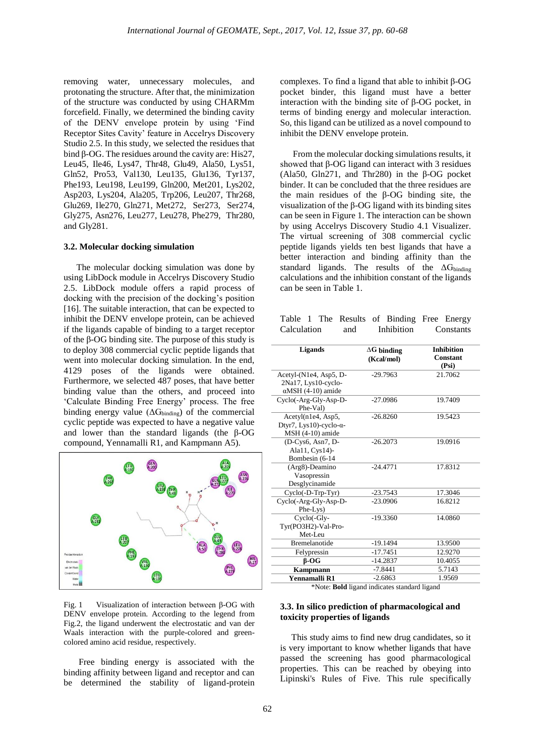removing water, unnecessary molecules, and protonating the structure. After that, the minimization of the structure was conducted by using CHARMm forcefield. Finally, we determined the binding cavity of the DENV envelope protein by using 'Find Receptor Sites Cavity' feature in Accelrys Discovery Studio 2.5. In this study, we selected the residues that bind β-OG. The residues around the cavity are: His27, Leu45, Ile46, Lys47, Thr48, Glu49, Ala50, Lys51, Gln52, Pro53, Val130, Leu135, Glu136, Tyr137, Phe193, Leu198, Leu199, Gln200, Met201, Lys202, Asp203, Lys204, Ala205, Trp206, Leu207, Thr268, Glu269, Ile270, Gln271, Met272, Ser273, Ser274, Gly275, Asn276, Leu277, Leu278, Phe279, Thr280, and Gly281.

#### **3.2. Molecular docking simulation**

The molecular docking simulation was done by using LibDock module in Accelrys Discovery Studio 2.5. LibDock module offers a rapid process of docking with the precision of the docking's position [16]. The suitable interaction, that can be expected to inhibit the DENV envelope protein, can be achieved if the ligands capable of binding to a target receptor of the β-OG binding site. The purpose of this study is to deploy 308 commercial cyclic peptide ligands that went into molecular docking simulation. In the end, 4129 poses of the ligands were obtained. Furthermore, we selected 487 poses, that have better binding value than the others, and proceed into 'Calculate Binding Free Energy' process. The free binding energy value  $(\Delta G_{binding})$  of the commercial cyclic peptide was expected to have a negative value and lower than the standard ligands (the β-OG compound, Yennamalli R1, and Kampmann A5).



Fig. 1 Visualization of interaction between β-OG with DENV envelope protein. According to the legend from Fig.2, the ligand underwent the electrostatic and van der Waals interaction with the purple-colored and greencolored amino acid residue, respectively.

Free binding energy is associated with the binding affinity between ligand and receptor and can be determined the stability of ligand-protein complexes. To find a ligand that able to inhibit β-OG pocket binder, this ligand must have a better interaction with the binding site of β-OG pocket, in terms of binding energy and molecular interaction. So, this ligand can be utilized as a novel compound to inhibit the DENV envelope protein.

From the molecular docking simulations results, it showed that β-OG ligand can interact with 3 residues (Ala50, Gln271, and Thr280) in the β-OG pocket binder. It can be concluded that the three residues are the main residues of the β-OG binding site, the visualization of the β-OG ligand with its binding sites can be seen in Figure 1. The interaction can be shown by using Accelrys Discovery Studio 4.1 Visualizer. The virtual screening of 308 commercial cyclic peptide ligands yields ten best ligands that have a better interaction and binding affinity than the standard ligands. The results of the  $\Delta G_{binding}$ calculations and the inhibition constant of the ligands can be seen in Table 1.

|             |  |     | Table 1 The Results of Binding Free Energy |           |
|-------------|--|-----|--------------------------------------------|-----------|
| Calculation |  | and | Inhibition                                 | Constants |

| <b>Ligands</b>                                                             | $\Delta G$ binding<br>(Kcal/mol) | <b>Inhibition</b><br>Constant<br>(Psi) |
|----------------------------------------------------------------------------|----------------------------------|----------------------------------------|
| Acetyl-(N1e4, Asp5, D-<br>2Na17, Lys10-cyclo-<br>$\alpha$ MSH (4-10) amide | $-29.7963$                       | 21.7062                                |
| Cyclo(-Arg-Gly-Asp-D-<br>Phe-Val)                                          | $-27.0986$                       | 19.7409                                |
| Acetyl(n1e4, Asp5,<br>Dtyr7, Lys10)-cyclo- $\alpha$ -<br>MSH (4-10) amide  | $-26.8260$                       | 19.5423                                |
| (D-Cys6, Asn7, D-<br>Ala11, Cys14)-<br>Bombesin (6-14                      | $-26.2073$                       | 19.0916                                |
| (Arg8)-Deamino<br>Vasopressin<br>Desglycinamide                            | $-244771$                        | 17.8312                                |
| $Cyclo(-D-Trp-Tyr)$                                                        | $-23.7543$                       | 17.3046                                |
| Cyclo(-Arg-Gly-Asp-D-<br>Phe-Lys)                                          | $-23.0906$                       | 16.8212                                |
| Cyclo(-Gly-<br>Tyr(PO3H2)-Val-Pro-<br>Met-Leu                              | $-19.3360$                       | 14.0860                                |
| <b>Bremelanotide</b>                                                       | $-19.1494$                       | 13.9500                                |
| Felypressin                                                                | $-17.7451$                       | 12.9270                                |
| $B-OG$                                                                     | $-14.2837$                       | 10.4055                                |
| <b>Kampmann</b>                                                            | $-7.8441$                        | 5.7143                                 |
| Yennamalli R1                                                              | $-2.6863$                        | 1.9569                                 |

\*Note: **Bold** ligand indicates standard ligand

#### **3.3. In silico prediction of pharmacological and toxicity properties of ligands**

 This study aims to find new drug candidates, so it is very important to know whether ligands that have passed the screening has good pharmacological properties. This can be reached by obeying into Lipinski's Rules of Five. This rule specifically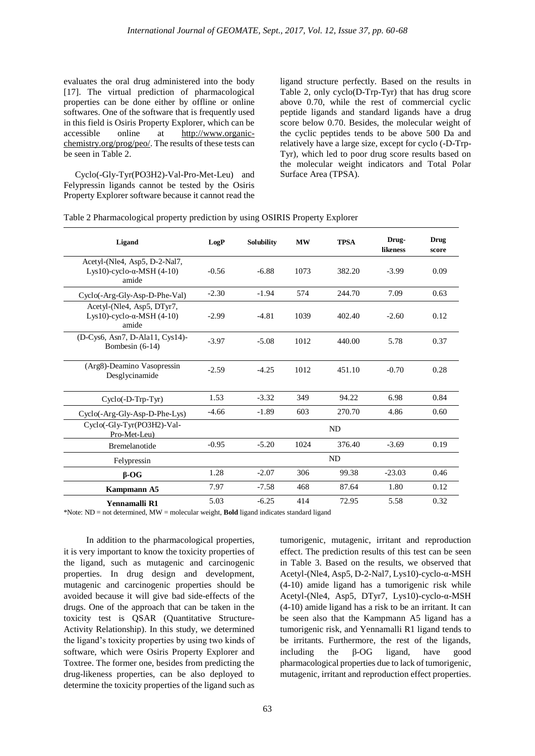evaluates the oral drug administered into the body [17]. The virtual prediction of pharmacological properties can be done either by offline or online softwares. One of the software that is frequently used in this field is Osiris Property Explorer, which can be accessible online at http://www.organicchemistry.org/prog/peo/. The results of these tests can be seen in Table 2.

 Cyclo(-Gly-Tyr(PO3H2)-Val-Pro-Met-Leu) and Felypressin ligands cannot be tested by the Osiris Property Explorer software because it cannot read the ligand structure perfectly. Based on the results in Table 2, only cyclo(D-Trp-Tyr) that has drug score above 0.70, while the rest of commercial cyclic peptide ligands and standard ligands have a drug score below 0.70. Besides, the molecular weight of the cyclic peptides tends to be above 500 Da and relatively have a large size, except for cyclo (-D-Trp-Tyr), which led to poor drug score results based on the molecular weight indicators and Total Polar Surface Area (TPSA).

| Table 2 Pharmacological property prediction by using OSIRIS Property Explorer |  |  |  |  |  |  |
|-------------------------------------------------------------------------------|--|--|--|--|--|--|
|-------------------------------------------------------------------------------|--|--|--|--|--|--|

| Ligand                                                                       | LogP    | <b>Solubility</b> | <b>MW</b> | <b>TPSA</b> | Drug-<br><b>likeness</b> | Drug<br>score |
|------------------------------------------------------------------------------|---------|-------------------|-----------|-------------|--------------------------|---------------|
| Acetyl-(Nle4, Asp5, D-2-Nal7,<br>Lys10)-cyclo- $\alpha$ -MSH (4-10)<br>amide | $-0.56$ | $-6.88$           | 1073      | 382.20      | $-3.99$                  | 0.09          |
| Cyclo(-Arg-Gly-Asp-D-Phe-Val)                                                | $-2.30$ | $-1.94$           | 574       | 244.70      | 7.09                     | 0.63          |
| Acetyl-(Nle4, Asp5, DTyr7,<br>Lys10)-cyclo- $\alpha$ -MSH (4-10)<br>amide    | $-2.99$ | $-4.81$           | 1039      | 402.40      | $-2.60$                  | 0.12          |
| (D-Cys6, Asn7, D-Ala11, Cys14)-<br>Bombesin $(6-14)$                         | $-3.97$ | $-5.08$           | 1012      | 440.00      | 5.78                     | 0.37          |
| (Arg8)-Deamino Vasopressin<br>Desglycinamide                                 | $-2.59$ | $-4.25$           | 1012      | 451.10      | $-0.70$                  | 0.28          |
| $Cyclo(-D-Trp-Tyr)$                                                          | 1.53    | $-3.32$           | 349       | 94.22       | 6.98                     | 0.84          |
| Cyclo(-Arg-Gly-Asp-D-Phe-Lys)                                                | $-4.66$ | $-1.89$           | 603       | 270.70      | 4.86                     | 0.60          |
| Cyclo(-Gly-Tyr(PO3H2)-Val-<br>Pro-Met-Leu)                                   |         |                   |           | ND.         |                          |               |
| <b>Bremelanotide</b>                                                         | $-0.95$ | $-5.20$           | 1024      | 376.40      | $-3.69$                  | 0.19          |
| Felypressin                                                                  |         |                   |           | ND          |                          |               |
| $\beta$ -OG                                                                  | 1.28    | $-2.07$           | 306       | 99.38       | $-23.03$                 | 0.46          |
| Kampmann A5                                                                  | 7.97    | $-7.58$           | 468       | 87.64       | 1.80                     | 0.12          |
| Yennamalli R1                                                                | 5.03    | $-6.25$           | 414       | 72.95       | 5.58                     | 0.32          |

\*Note: ND = not determined, MW = molecular weight, **Bold** ligand indicates standard ligand

 In addition to the pharmacological properties, it is very important to know the toxicity properties of the ligand, such as mutagenic and carcinogenic properties. In drug design and development, mutagenic and carcinogenic properties should be avoided because it will give bad side-effects of the drugs. One of the approach that can be taken in the toxicity test is QSAR (Quantitative Structure-Activity Relationship). In this study, we determined the ligand's toxicity properties by using two kinds of software, which were Osiris Property Explorer and Toxtree. The former one, besides from predicting the drug-likeness properties, can be also deployed to determine the toxicity properties of the ligand such as tumorigenic, mutagenic, irritant and reproduction effect. The prediction results of this test can be seen in Table 3. Based on the results, we observed that Acetyl-(Nle4, Asp5, D-2-Nal7, Lys10)-cyclo-α-MSH (4-10) amide ligand has a tumorigenic risk while Acetyl-(Nle4, Asp5, DTyr7, Lys10)-cyclo-α-MSH (4-10) amide ligand has a risk to be an irritant. It can be seen also that the Kampmann A5 ligand has a tumorigenic risk, and Yennamalli R1 ligand tends to be irritants. Furthermore, the rest of the ligands, including the β-OG ligand, have good pharmacological properties due to lack of tumorigenic, mutagenic, irritant and reproduction effect properties.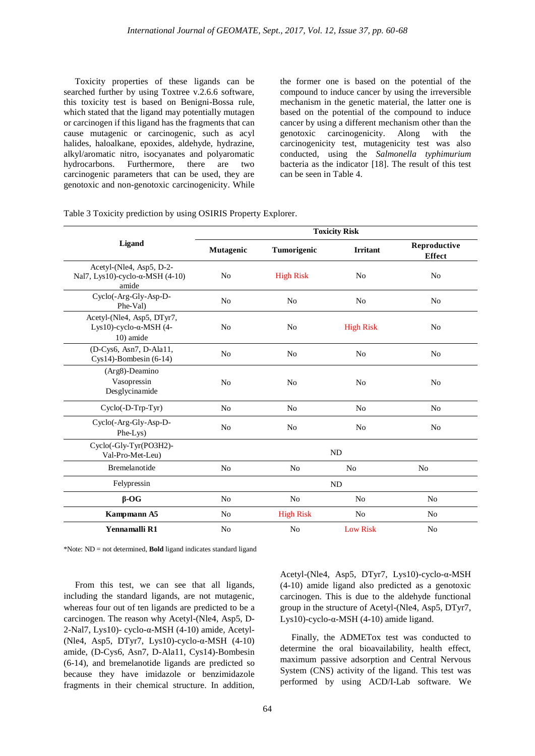Toxicity properties of these ligands can be searched further by using Toxtree v.2.6.6 software, this toxicity test is based on Benigni-Bossa rule, which stated that the ligand may potentially mutagen or carcinogen if this ligand has the fragments that can cause mutagenic or carcinogenic, such as acyl halides, haloalkane, epoxides, aldehyde, hydrazine, alkyl/aromatic nitro, isocyanates and polyaromatic Furthermore, there are two carcinogenic parameters that can be used, they are genotoxic and non-genotoxic carcinogenicity. While the former one is based on the potential of the compound to induce cancer by using the irreversible mechanism in the genetic material, the latter one is based on the potential of the compound to induce cancer by using a different mechanism other than the genotoxic carcinogenicity. Along with the carcinogenicity test, mutagenicity test was also conducted, using the *Salmonella typhimurium* bacteria as the indicator [18]. The result of this test can be seen in Table 4.

|  |  |  | Table 3 Toxicity prediction by using OSIRIS Property Explorer. |
|--|--|--|----------------------------------------------------------------|
|--|--|--|----------------------------------------------------------------|

|                                                                               | <b>Toxicity Risk</b> |                  |                  |                               |  |  |  |
|-------------------------------------------------------------------------------|----------------------|------------------|------------------|-------------------------------|--|--|--|
| Ligand                                                                        | Mutagenic            | Tumorigenic      | <b>Irritant</b>  | Reproductive<br><b>Effect</b> |  |  |  |
| Acetyl-(Nle4, Asp5, D-2-<br>Nal7, Lys10)-cyclo- $\alpha$ -MSH (4-10)<br>amide | No                   | <b>High Risk</b> | N <sub>0</sub>   | No                            |  |  |  |
| Cyclo(-Arg-Gly-Asp-D-<br>Phe-Val)                                             | N <sub>0</sub>       | N <sub>0</sub>   | No               | No                            |  |  |  |
| Acetyl-(Nle4, Asp5, DTyr7,<br>Lys10)-cyclo- $\alpha$ -MSH (4-<br>10) amide    | N <sub>0</sub>       | N <sub>0</sub>   | <b>High Risk</b> | N <sub>0</sub>                |  |  |  |
| (D-Cys6, Asn7, D-Ala11,<br>$Cys14$ -Bombesin (6-14)                           | N <sub>0</sub>       | N <sub>0</sub>   | N <sub>0</sub>   | N <sub>0</sub>                |  |  |  |
| $(Arg8)$ -Deamino<br>Vasopressin<br>Desglycinamide                            | N <sub>0</sub>       | N <sub>0</sub>   | N <sub>0</sub>   | N <sub>0</sub>                |  |  |  |
| $Cyclo(-D-Trp-Tyr)$                                                           | N <sub>0</sub>       | N <sub>o</sub>   | N <sub>0</sub>   | N <sub>o</sub>                |  |  |  |
| Cyclo(-Arg-Gly-Asp-D-<br>Phe-Lys)                                             | N <sub>0</sub>       | N <sub>0</sub>   | N <sub>o</sub>   | N <sub>0</sub>                |  |  |  |
| Cyclo(-Gly-Tyr(PO3H2)-<br>Val-Pro-Met-Leu)                                    | <b>ND</b>            |                  |                  |                               |  |  |  |
| Bremelanotide                                                                 | N <sub>0</sub>       | N <sub>0</sub>   | N <sub>0</sub>   | N <sub>0</sub>                |  |  |  |
| Felypressin                                                                   | <b>ND</b>            |                  |                  |                               |  |  |  |
| $\beta$ -OG                                                                   | N <sub>0</sub>       | N <sub>0</sub>   | N <sub>0</sub>   | N <sub>o</sub>                |  |  |  |
| Kampmann A5                                                                   | No                   | <b>High Risk</b> | No               | No                            |  |  |  |
| Yennamalli R1                                                                 | No                   | No               | <b>Low Risk</b>  | No                            |  |  |  |

\*Note: ND = not determined, **Bold** ligand indicates standard ligand

 From this test, we can see that all ligands, including the standard ligands, are not mutagenic, whereas four out of ten ligands are predicted to be a carcinogen. The reason why Acetyl-(Nle4, Asp5, D-2-Nal7, Lys10)- cyclo-α-MSH (4-10) amide, Acetyl- (Nle4, Asp5, DTyr7, Lys10)-cyclo-α-MSH (4-10) amide, (D-Cys6, Asn7, D-Ala11, Cys14)-Bombesin (6-14), and bremelanotide ligands are predicted so because they have imidazole or benzimidazole fragments in their chemical structure. In addition, Acetyl-(Nle4, Asp5, DTyr7, Lys10)-cyclo-α-MSH (4-10) amide ligand also predicted as a genotoxic carcinogen. This is due to the aldehyde functional group in the structure of Acetyl-(Nle4, Asp5, DTyr7, Lys10)-cyclo-α-MSH  $(4-10)$  amide ligand.

 Finally, the ADMETox test was conducted to determine the oral bioavailability, health effect, maximum passive adsorption and Central Nervous System (CNS) activity of the ligand. This test was performed by using ACD/I-Lab software. We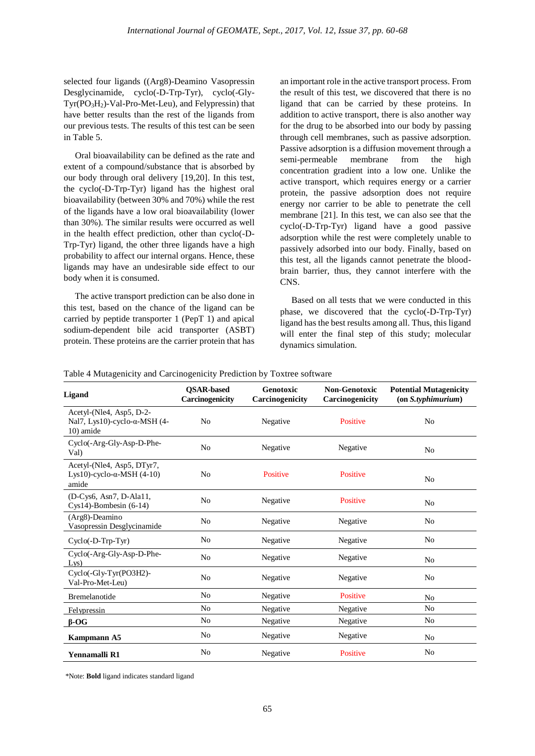selected four ligands ((Arg8)-Deamino Vasopressin Desglycinamide, cyclo(-D-Trp-Tyr), cyclo(-Gly-Tyr(PO3H2)-Val-Pro-Met-Leu), and Felypressin) that have better results than the rest of the ligands from our previous tests. The results of this test can be seen in Table 5.

 Oral bioavailability can be defined as the rate and extent of a compound/substance that is absorbed by our body through oral delivery [19,20]. In this test, the cyclo(-D-Trp-Tyr) ligand has the highest oral bioavailability (between 30% and 70%) while the rest of the ligands have a low oral bioavailability (lower than 30%). The similar results were occurred as well in the health effect prediction, other than cyclo(-D-Trp-Tyr) ligand, the other three ligands have a high probability to affect our internal organs. Hence, these ligands may have an undesirable side effect to our body when it is consumed.

 The active transport prediction can be also done in this test, based on the chance of the ligand can be carried by peptide transporter 1 (PepT 1) and apical sodium-dependent bile acid transporter (ASBT) protein. These proteins are the carrier protein that has an important role in the active transport process. From the result of this test, we discovered that there is no ligand that can be carried by these proteins. In addition to active transport, there is also another way for the drug to be absorbed into our body by passing through cell membranes, such as passive adsorption. Passive adsorption is a diffusion movement through a semi-permeable membrane from the high concentration gradient into a low one. Unlike the active transport, which requires energy or a carrier protein, the passive adsorption does not require energy nor carrier to be able to penetrate the cell membrane [21]. In this test, we can also see that the cyclo(-D-Trp-Tyr) ligand have a good passive adsorption while the rest were completely unable to passively adsorbed into our body. Finally, based on this test, all the ligands cannot penetrate the bloodbrain barrier, thus, they cannot interfere with the CNS.

 Based on all tests that we were conducted in this phase, we discovered that the cyclo(-D-Trp-Tyr) ligand has the best results among all. Thus, this ligand will enter the final step of this study; molecular dynamics simulation.

| Table 4 Mutagenicity and Carcinogenicity Prediction by Toxtree software |  |  |  |
|-------------------------------------------------------------------------|--|--|--|
|                                                                         |  |  |  |

| Ligand                                                                         | <b>OSAR-based</b><br>Carcinogenicity | Genotoxic<br>Carcinogenicity | <b>Non-Genotoxic</b><br>Carcinogenicity | <b>Potential Mutagenicity</b><br>$($ on <i>S.typhimurium</i> $)$ |
|--------------------------------------------------------------------------------|--------------------------------------|------------------------------|-----------------------------------------|------------------------------------------------------------------|
| Acetyl-(Nle4, Asp5, D-2-<br>Nal7, Lys10)-cyclo- $\alpha$ -MSH (4-<br>10) amide | N <sub>0</sub>                       | Negative                     | Positive                                | N <sub>0</sub>                                                   |
| Cyclo(-Arg-Gly-Asp-D-Phe-<br>Val)                                              | N <sub>0</sub>                       | Negative                     | Negative                                | N <sub>0</sub>                                                   |
| Acetyl-(Nle4, Asp5, DTyr7,<br>Lys10)-cyclo- $\alpha$ -MSH $(4-10)$<br>amide    | No                                   | Positive                     | Positive                                | N <sub>0</sub>                                                   |
| (D-Cys6, Asn7, D-Ala11,<br>$Cys14$ -Bombesin (6-14)                            | No                                   | Negative                     | Positive                                | N <sub>0</sub>                                                   |
| (Arg8)-Deamino<br>Vasopressin Desglycinamide                                   | No                                   | Negative                     | Negative                                | N <sub>0</sub>                                                   |
| $Cyclo(-D-Trp-Tyr)$                                                            | N <sub>0</sub>                       | Negative                     | Negative                                | N <sub>0</sub>                                                   |
| Cyclo(-Arg-Gly-Asp-D-Phe-<br>Lys)                                              | No                                   | Negative                     | Negative                                | N <sub>0</sub>                                                   |
| Cyclo(-Gly-Tyr(PO3H2)-<br>Val-Pro-Met-Leu)                                     | No                                   | Negative                     | Negative                                | N <sub>0</sub>                                                   |
| Bremelanotide                                                                  | No                                   | Negative                     | Positive                                | N <sub>0</sub>                                                   |
| Felypressin                                                                    | No                                   | Negative                     | Negative                                | N <sub>0</sub>                                                   |
| $\beta$ -OG                                                                    | N <sub>0</sub>                       | Negative                     | Negative                                | N <sub>0</sub>                                                   |
| Kampmann A5                                                                    | No                                   | Negative                     | Negative                                | N <sub>0</sub>                                                   |
| Yennamalli R1                                                                  | No                                   | Negative                     | Positive                                | No                                                               |

\*Note: **Bold** ligand indicates standard ligand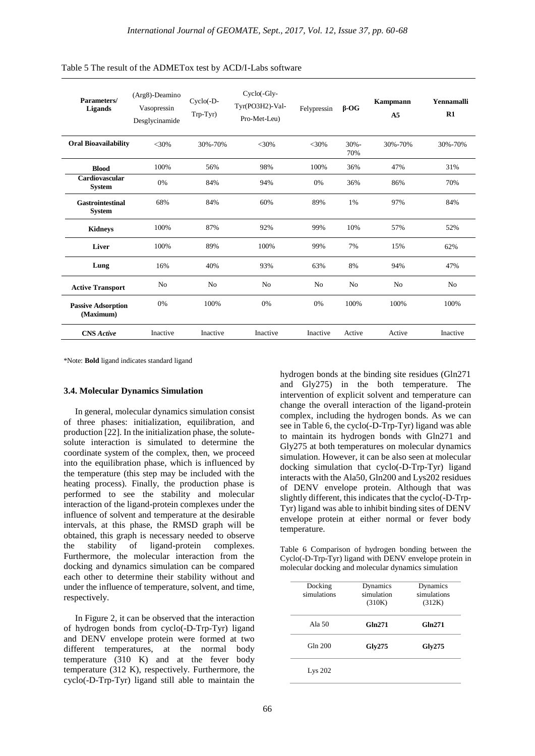| Parameters/<br>Ligands                   | (Arg8)-Deamino<br>Vasopressin<br>Desglycinamide | Cyclo(-D-<br>Trp-Tyr) | $Cyclo(-Gly-$<br>Tyr(PO3H2)-Val-<br>Pro-Met-Leu) | Felypressin    | $\beta$ -OG    | <b>Kampmann</b><br>A <sub>5</sub> | Yennamalli<br>R1 |
|------------------------------------------|-------------------------------------------------|-----------------------|--------------------------------------------------|----------------|----------------|-----------------------------------|------------------|
| <b>Oral Bioavailability</b>              | $<$ 30%                                         | 30%-70%               | $<$ 30%                                          | $<$ 30%        | $30% -$<br>70% | 30%-70%                           | 30%-70%          |
| <b>Blood</b>                             | 100%                                            | 56%                   | 98%                                              | 100%           | 36%            | 47%                               | 31%              |
| Cardiovascular<br><b>System</b>          | 0%                                              | 84%                   | 94%                                              | 0%             | 36%            | 86%                               | 70%              |
| <b>Gastrointestinal</b><br><b>System</b> | 68%                                             | 84%                   | 60%                                              | 89%            | 1%             | 97%                               | 84%              |
| <b>Kidneys</b>                           | 100%                                            | 87%                   | 92%                                              | 99%            | 10%            | 57%                               | 52%              |
| Liver                                    | 100%                                            | 89%                   | 100%                                             | 99%            | 7%             | 15%                               | 62%              |
| Lung                                     | 16%                                             | 40%                   | 93%                                              | 63%            | 8%             | 94%                               | 47%              |
| <b>Active Transport</b>                  | N <sub>0</sub>                                  | No                    | N <sub>0</sub>                                   | N <sub>0</sub> | N <sub>0</sub> | N <sub>0</sub>                    | N <sub>o</sub>   |
| <b>Passive Adsorption</b><br>(Maximum)   | 0%                                              | 100%                  | 0%                                               | 0%             | 100%           | 100%                              | 100%             |
| <b>CNS</b> Active                        | Inactive                                        | Inactive              | Inactive                                         | Inactive       | Active         | Active                            | Inactive         |

Table 5 The result of the ADMETox test by ACD/I-Labs software

\*Note: **Bold** ligand indicates standard ligand

#### **3.4. Molecular Dynamics Simulation**

 In general, molecular dynamics simulation consist of three phases: initialization, equilibration, and production [22]. In the initialization phase, the solutesolute interaction is simulated to determine the coordinate system of the complex, then, we proceed into the equilibration phase, which is influenced by the temperature (this step may be included with the heating process). Finally, the production phase is performed to see the stability and molecular interaction of the ligand-protein complexes under the influence of solvent and temperature at the desirable intervals, at this phase, the RMSD graph will be obtained, this graph is necessary needed to observe the stability of ligand-protein complexes. Furthermore, the molecular interaction from the docking and dynamics simulation can be compared each other to determine their stability without and under the influence of temperature, solvent, and time, respectively.

 In Figure 2, it can be observed that the interaction of hydrogen bonds from cyclo(-D-Trp-Tyr) ligand and DENV envelope protein were formed at two different temperatures, at the normal body temperature (310 K) and at the fever body temperature (312 K), respectively. Furthermore, the cyclo(-D-Trp-Tyr) ligand still able to maintain the hydrogen bonds at the binding site residues (Gln271 and Gly275) in the both temperature. The intervention of explicit solvent and temperature can change the overall interaction of the ligand-protein complex, including the hydrogen bonds. As we can see in Table 6, the cyclo(-D-Trp-Tyr) ligand was able to maintain its hydrogen bonds with Gln271 and Gly275 at both temperatures on molecular dynamics simulation. However, it can be also seen at molecular docking simulation that cyclo(-D-Trp-Tyr) ligand interacts with the Ala50, Gln200 and Lys202 residues of DENV envelope protein. Although that was slightly different, this indicates that the cyclo(-D-Trp-Tyr) ligand was able to inhibit binding sites of DENV envelope protein at either normal or fever body temperature.

Table 6 Comparison of hydrogen bonding between the Cyclo(-D-Trp-Tyr) ligand with DENV envelope protein in molecular docking and molecular dynamics simulation

| Docking<br>simulations | Dynamics<br>simulation<br>(310K) | Dynamics<br>simulations<br>(312K) |
|------------------------|----------------------------------|-----------------------------------|
| Ala 50                 | Gln271                           | <b>Gln271</b>                     |
| Gln 200                | Gly275                           | Gly275                            |
| Lys 202                |                                  |                                   |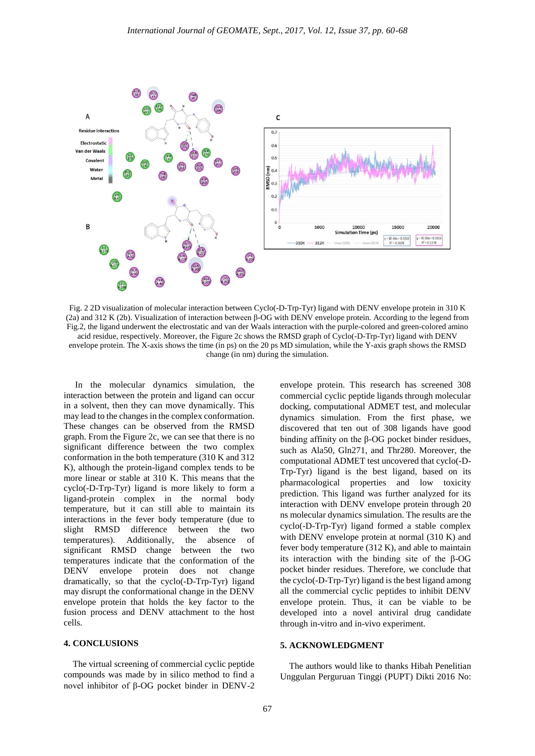

Fig. 2 2D visualization of molecular interaction between Cyclo(-D-Trp-Tyr) ligand with DENV envelope protein in 310 K (2a) and 312 K (2b). Visualization of interaction between β-OG with DENV envelope protein. According to the legend from Fig.2, the ligand underwent the electrostatic and van der Waals interaction with the purple-colored and green-colored amino acid residue, respectively. Moreover, the Figure 2c shows the RMSD graph of Cyclo(-D-Trp-Tyr) ligand with DENV envelope protein. The X-axis shows the time (in ps) on the 20 ps MD simulation, while the Y-axis graph shows the RMSD change (in nm) during the simulation.

 In the molecular dynamics simulation, the interaction between the protein and ligand can occur in a solvent, then they can move dynamically. This may lead to the changes in the complex conformation. These changes can be observed from the RMSD graph. From the Figure 2c, we can see that there is no significant difference between the two complex conformation in the both temperature (310 K and 312 K), although the protein-ligand complex tends to be more linear or stable at 310 K. This means that the cyclo(-D-Trp-Tyr) ligand is more likely to form a ligand-protein complex in the normal body temperature, but it can still able to maintain its interactions in the fever body temperature (due to slight RMSD difference between the two temperatures). Additionally, the absence of significant RMSD change between the two temperatures indicate that the conformation of the DENV envelope protein does not change dramatically, so that the cyclo(-D-Trp-Tyr) ligand may disrupt the conformational change in the DENV envelope protein that holds the key factor to the fusion process and DENV attachment to the host cells.

#### **4. CONCLUSIONS**

The virtual screening of commercial cyclic peptide compounds was made by in silico method to find a novel inhibitor of β-OG pocket binder in DENV-2

envelope protein. This research has screened 308 commercial cyclic peptide ligands through molecular docking, computational ADMET test, and molecular dynamics simulation. From the first phase, we discovered that ten out of 308 ligands have good binding affinity on the β-OG pocket binder residues, such as Ala50, Gln271, and Thr280. Moreover, the computational ADMET test uncovered that cyclo(-D-Trp-Tyr) ligand is the best ligand, based on its pharmacological properties and low toxicity prediction. This ligand was further analyzed for its interaction with DENV envelope protein through 20 ns molecular dynamics simulation. The results are the cyclo(-D-Trp-Tyr) ligand formed a stable complex with DENV envelope protein at normal (310 K) and fever body temperature (312 K), and able to maintain its interaction with the binding site of the β-OG pocket binder residues. Therefore, we conclude that the cyclo(-D-Trp-Tyr) ligand is the best ligand among all the commercial cyclic peptides to inhibit DENV envelope protein. Thus, it can be viable to be developed into a novel antiviral drug candidate through in-vitro and in-vivo experiment.

## **5. ACKNOWLEDGMENT**

The authors would like to thanks Hibah Penelitian Unggulan Perguruan Tinggi (PUPT) Dikti 2016 No: